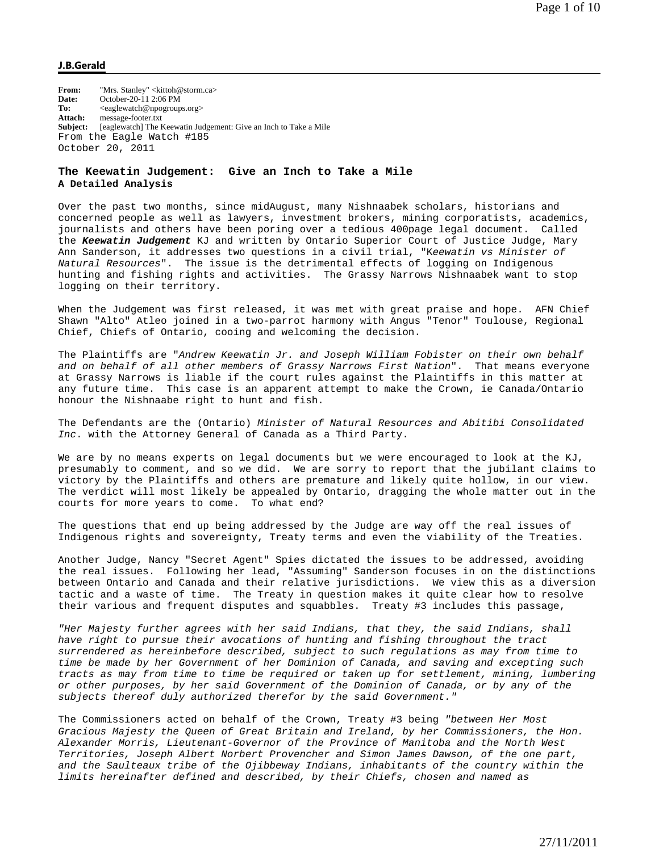## **J.B.Gerald**

From: "Mrs. Stanley" <kittoh@storm.ca> **Date:** October-20-11 2:06 PM To:  $\langle \text{eaglewatch@npogroups.org} \rangle$ **Attach:** message-footer.txt **Subject:** [eaglewatch] The Keewatin Judgement: Give an Inch to Take a Mile From the Eagle Watch #185 October 20, 2011

## **The Keewatin Judgement: Give an Inch to Take a Mile A Detailed Analysis**

Over the past two months, since midAugust, many Nishnaabek scholars, historians and concerned people as well as lawyers, investment brokers, mining corporatists, academics, journalists and others have been poring over a tedious 400page legal document. Called the *Keewatin Judgement* KJ and written by Ontario Superior Court of Justice Judge, Mary Ann Sanderson, it addresses two questions in a civil trial, "K*eewatin vs Minister of Natural Resources*". The issue is the detrimental effects of logging on Indigenous hunting and fishing rights and activities. The Grassy Narrows Nishnaabek want to stop logging on their territory.

When the Judgement was first released, it was met with great praise and hope. AFN Chief Shawn "Alto" Atleo joined in a two-parrot harmony with Angus "Tenor" Toulouse, Regional Chief, Chiefs of Ontario, cooing and welcoming the decision.

The Plaintiffs are "*Andrew Keewatin Jr. and Joseph William Fobister on their own behalf and on behalf of all other members of Grassy Narrows First Nation*". That means everyone at Grassy Narrows is liable if the court rules against the Plaintiffs in this matter at any future time. This case is an apparent attempt to make the Crown, ie Canada/Ontario honour the Nishnaabe right to hunt and fish.

The Defendants are the (Ontario) *Minister of Natural Resources and Abitibi Consolidated Inc*. with the Attorney General of Canada as a Third Party.

We are by no means experts on legal documents but we were encouraged to look at the KJ, presumably to comment, and so we did. We are sorry to report that the jubilant claims to victory by the Plaintiffs and others are premature and likely quite hollow, in our view. The verdict will most likely be appealed by Ontario, dragging the whole matter out in the courts for more years to come. To what end?

The questions that end up being addressed by the Judge are way off the real issues of Indigenous rights and sovereignty, Treaty terms and even the viability of the Treaties.

Another Judge, Nancy "Secret Agent" Spies dictated the issues to be addressed, avoiding the real issues. Following her lead, "Assuming" Sanderson focuses in on the distinctions between Ontario and Canada and their relative jurisdictions. We view this as a diversion tactic and a waste of time. The Treaty in question makes it quite clear how to resolve their various and frequent disputes and squabbles. Treaty #3 includes this passage,

*"Her Majesty further agrees with her said Indians, that they, the said Indians, shall have right to pursue their avocations of hunting and fishing throughout the tract surrendered as hereinbefore described, subject to such regulations as may from time to time be made by her Government of her Dominion of Canada, and saving and excepting such tracts as may from time to time be required or taken up for settlement, mining, lumbering or other purposes, by her said Government of the Dominion of Canada, or by any of the subjects thereof duly authorized therefor by the said Government."* 

The Commissioners acted on behalf of the Crown, Treaty #3 being *"between Her Most Gracious Majesty the Queen of Great Britain and Ireland, by her Commissioners, the Hon. Alexander Morris, Lieutenant-Governor of the Province of Manitoba and the North West Territories, Joseph Albert Norbert Provencher and Simon James Dawson, of the one part, and the Saulteaux tribe of the Ojibbeway Indians, inhabitants of the country within the limits hereinafter defined and described, by their Chiefs, chosen and named as*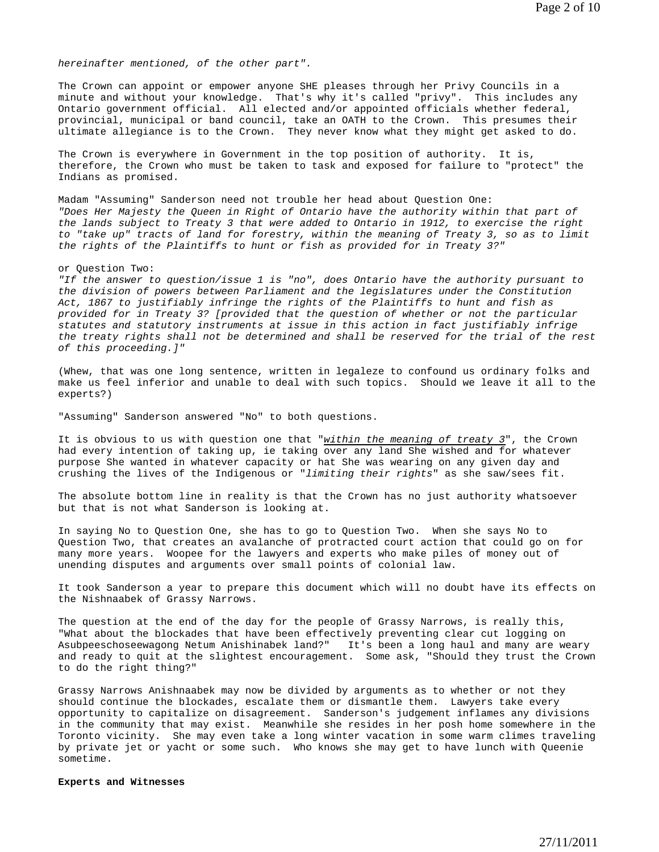*hereinafter mentioned, of the other part".* 

The Crown can appoint or empower anyone SHE pleases through her Privy Councils in a minute and without your knowledge. That's why it's called "privy". This includes any Ontario government official. All elected and/or appointed officials whether federal, provincial, municipal or band council, take an OATH to the Crown. This presumes their ultimate allegiance is to the Crown. They never know what they might get asked to do.

The Crown is everywhere in Government in the top position of authority. It is, therefore, the Crown who must be taken to task and exposed for failure to "protect" the Indians as promised.

Madam "Assuming" Sanderson need not trouble her head about Question One: *"Does Her Majesty the Queen in Right of Ontario have the authority within that part of the lands subject to Treaty 3 that were added to Ontario in 1912, to exercise the right to "take up" tracts of land for forestry, within the meaning of Treaty 3, so as to limit the rights of the Plaintiffs to hunt or fish as provided for in Treaty 3?"* 

or Question Two:

*"If the answer to question/issue 1 is "no", does Ontario have the authority pursuant to the division of powers between Parliament and the legislatures under the Constitution Act, 1867 to justifiably infringe the rights of the Plaintiffs to hunt and fish as provided for in Treaty 3? [provided that the question of whether or not the particular statutes and statutory instruments at issue in this action in fact justifiably infrige the treaty rights shall not be determined and shall be reserved for the trial of the rest of this proceeding.]"*

(Whew, that was one long sentence, written in legaleze to confound us ordinary folks and make us feel inferior and unable to deal with such topics. Should we leave it all to the experts?)

"Assuming" Sanderson answered "No" to both questions.

It is obvious to us with question one that "*within the meaning of treaty 3*", the Crown had every intention of taking up, ie taking over any land She wished and for whatever purpose She wanted in whatever capacity or hat She was wearing on any given day and crushing the lives of the Indigenous or "*limiting their rights*" as she saw/sees fit.

The absolute bottom line in reality is that the Crown has no just authority whatsoever but that is not what Sanderson is looking at.

In saying No to Question One, she has to go to Question Two. When she says No to Question Two, that creates an avalanche of protracted court action that could go on for many more years. Woopee for the lawyers and experts who make piles of money out of unending disputes and arguments over small points of colonial law.

It took Sanderson a year to prepare this document which will no doubt have its effects on the Nishnaabek of Grassy Narrows.

The question at the end of the day for the people of Grassy Narrows, is really this, "What about the blockades that have been effectively preventing clear cut logging on Asubpeeschoseewagong Netum Anishinabek land?" It's been a long haul and many are weary and ready to quit at the slightest encouragement. Some ask, "Should they trust the Crown to do the right thing?"

Grassy Narrows Anishnaabek may now be divided by arguments as to whether or not they should continue the blockades, escalate them or dismantle them. Lawyers take every opportunity to capitalize on disagreement. Sanderson's judgement inflames any divisions in the community that may exist. Meanwhile she resides in her posh home somewhere in the Toronto vicinity. She may even take a long winter vacation in some warm climes traveling by private jet or yacht or some such. Who knows she may get to have lunch with Queenie sometime.

# **Experts and Witnesses**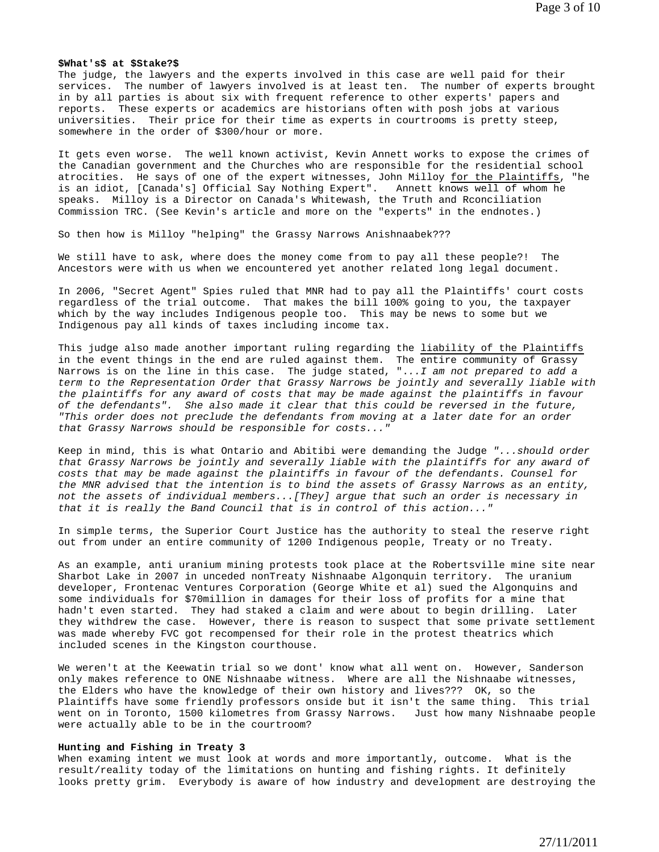## **\$What's\$ at \$Stake?\$**

The judge, the lawyers and the experts involved in this case are well paid for their services. The number of lawyers involved is at least ten. The number of experts brought in by all parties is about six with frequent reference to other experts' papers and reports. These experts or academics are historians often with posh jobs at various universities. Their price for their time as experts in courtrooms is pretty steep, somewhere in the order of \$300/hour or more.

It gets even worse. The well known activist, Kevin Annett works to expose the crimes of the Canadian government and the Churches who are responsible for the residential school atrocities. He says of one of the expert witnesses, John Milloy for the Plaintiffs, "he is an idiot, [Canada's] Official Say Nothing Expert". Annett knows well of whom he speaks. Milloy is a Director on Canada's Whitewash, the Truth and Rconciliation Commission TRC. (See Kevin's article and more on the "experts" in the endnotes.)

So then how is Milloy "helping" the Grassy Narrows Anishnaabek???

We still have to ask, where does the money come from to pay all these people?! The Ancestors were with us when we encountered yet another related long legal document.

In 2006, "Secret Agent" Spies ruled that MNR had to pay all the Plaintiffs' court costs regardless of the trial outcome. That makes the bill 100% going to you, the taxpayer which by the way includes Indigenous people too. This may be news to some but we Indigenous pay all kinds of taxes including income tax.

This judge also made another important ruling regarding the liability of the Plaintiffs in the event things in the end are ruled against them. The entire community of Grassy Narrows is on the line in this case. The judge stated, ".*..I am not prepared to add a term to the Representation Order that Grassy Narrows be jointly and severally liable with the plaintiffs for any award of costs that may be made against the plaintiffs in favour of the defendants". She also made it clear that this could be reversed in the future, "This order does not preclude the defendants from moving at a later date for an order that Grassy Narrows should be responsible for costs..."* 

Keep in mind, this is what Ontario and Abitibi were demanding the Judge *"...should order that Grassy Narrows be jointly and severally liable with the plaintiffs for any award of costs that may be made against the plaintiffs in favour of the defendants. Counsel for the MNR advised that the intention is to bind the assets of Grassy Narrows as an entity, not the assets of individual members...[They] argue that such an order is necessary in that it is really the Band Council that is in control of this action..."* 

In simple terms, the Superior Court Justice has the authority to steal the reserve right out from under an entire community of 1200 Indigenous people, Treaty or no Treaty.

As an example, anti uranium mining protests took place at the Robertsville mine site near Sharbot Lake in 2007 in unceded nonTreaty Nishnaabe Algonquin territory. The uranium developer, Frontenac Ventures Corporation (George White et al) sued the Algonquins and some individuals for \$70million in damages for their loss of profits for a mine that hadn't even started. They had staked a claim and were about to begin drilling. Later they withdrew the case. However, there is reason to suspect that some private settlement was made whereby FVC got recompensed for their role in the protest theatrics which included scenes in the Kingston courthouse.

We weren't at the Keewatin trial so we dont' know what all went on. However, Sanderson only makes reference to ONE Nishnaabe witness. Where are all the Nishnaabe witnesses, the Elders who have the knowledge of their own history and lives??? OK, so the Plaintiffs have some friendly professors onside but it isn't the same thing. This trial went on in Toronto, 1500 kilometres from Grassy Narrows. Just how many Nishnaabe people were actually able to be in the courtroom?

#### **Hunting and Fishing in Treaty 3**

When examing intent we must look at words and more importantly, outcome. What is the result/reality today of the limitations on hunting and fishing rights. It definitely looks pretty grim. Everybody is aware of how industry and development are destroying the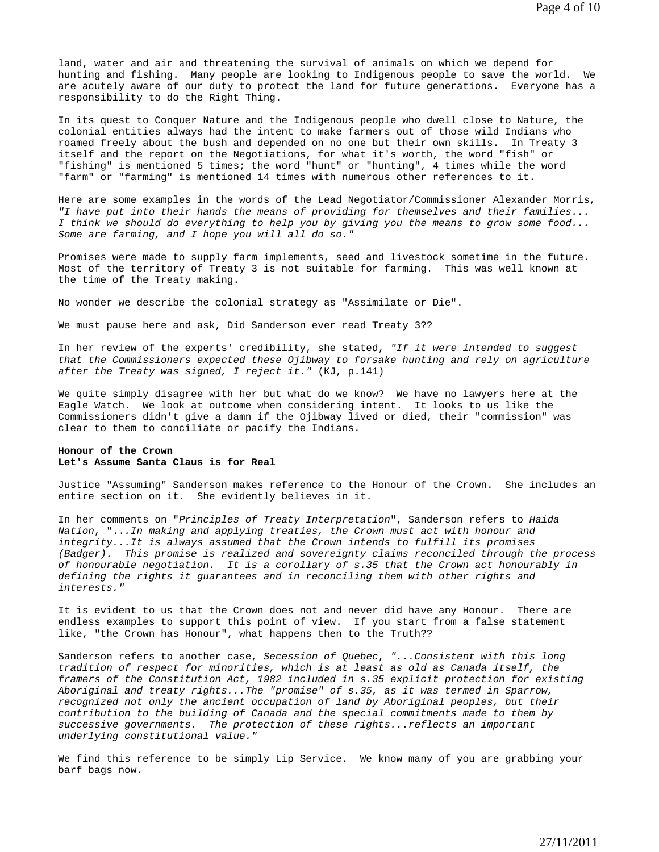land, water and air and threatening the survival of animals on which we depend for hunting and fishing. Many people are looking to Indigenous people to save the world. We are acutely aware of our duty to protect the land for future generations. Everyone has a responsibility to do the Right Thing.

In its quest to Conquer Nature and the Indigenous people who dwell close to Nature, the colonial entities always had the intent to make farmers out of those wild Indians who roamed freely about the bush and depended on no one but their own skills. In Treaty 3 itself and the report on the Negotiations, for what it's worth, the word "fish" or "fishing" is mentioned 5 times; the word "hunt" or "hunting", 4 times while the word "farm" or "farming" is mentioned 14 times with numerous other references to it.

Here are some examples in the words of the Lead Negotiator/Commissioner Alexander Morris, *"I have put into their hands the means of providing for themselves and their families... I think we should do everything to help you by giving you the means to grow some food... Some are farming, and I hope you will all do so."* 

Promises were made to supply farm implements, seed and livestock sometime in the future. Most of the territory of Treaty 3 is not suitable for farming. This was well known at the time of the Treaty making.

No wonder we describe the colonial strategy as "Assimilate or Die".

We must pause here and ask, Did Sanderson ever read Treaty 3??

In her review of the experts' credibility, she stated, *"If it were intended to suggest that the Commissioners expected these Ojibway to forsake hunting and rely on agriculture after the Treaty was signed, I reject it."* (KJ, p.141)

We quite simply disagree with her but what do we know? We have no lawyers here at the Eagle Watch. We look at outcome when considering intent. It looks to us like the Commissioners didn't give a damn if the Ojibway lived or died, their "commission" was clear to them to conciliate or pacify the Indians.

## **Honour of the Crown Let's Assume Santa Claus is for Real**

Justice "Assuming" Sanderson makes reference to the Honour of the Crown. She includes an entire section on it. She evidently believes in it.

In her comments on "*Principles of Treaty Interpretation*", Sanderson refers to *Haida Nation*, "..*.In making and applying treaties, the Crown must act with honour and integrity...It is always assumed that the Crown intends to fulfill its promises (Badger). This promise is realized and sovereignty claims reconciled through the process of honourable negotiation. It is a corollary of s.35 that the Crown act honourably in defining the rights it guarantees and in reconciling them with other rights and interests."* 

It is evident to us that the Crown does not and never did have any Honour. There are endless examples to support this point of view. If you start from a false statement like, "the Crown has Honour", what happens then to the Truth??

Sanderson refers to another case, *Secession of Quebec*, *"...Consistent with this long tradition of respect for minorities, which is at least as old as Canada itself, the framers of the Constitution Act, 1982 included in s.35 explicit protection for existing Aboriginal and treaty rights...The "promise" of s.35, as it was termed in Sparrow, recognized not only the ancient occupation of land by Aboriginal peoples, but their contribution to the building of Canada and the special commitments made to them by successive governments. The protection of these rights...reflects an important underlying constitutional value."* 

We find this reference to be simply Lip Service. We know many of you are grabbing your barf bags now.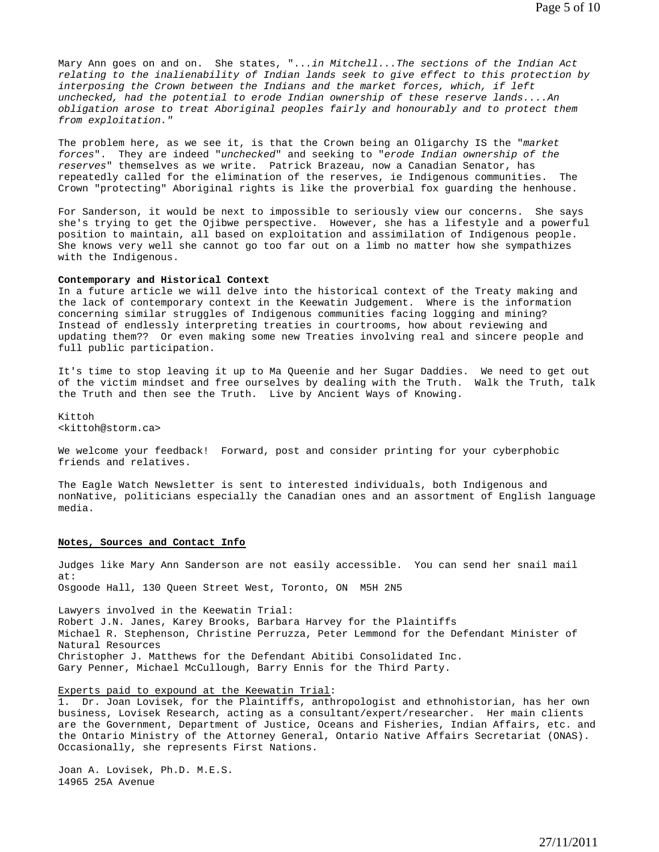Mary Ann goes on and on. She states, "..*.in Mitchell...The sections of the Indian Act relating to the inalienability of Indian lands seek to give effect to this protection by interposing the Crown between the Indians and the market forces, which, if left unchecked, had the potential to erode Indian ownership of these reserve lands....An obligation arose to treat Aboriginal peoples fairly and honourably and to protect them from exploitation."* 

The problem here, as we see it, is that the Crown being an Oligarchy IS the "*market forces*". They are indeed "*unchecked*" and seeking to "*erode Indian ownership of the reserves*" themselves as we write. Patrick Brazeau, now a Canadian Senator, has repeatedly called for the elimination of the reserves, ie Indigenous communities. The Crown "protecting" Aboriginal rights is like the proverbial fox guarding the henhouse.

For Sanderson, it would be next to impossible to seriously view our concerns. She says she's trying to get the Ojibwe perspective. However, she has a lifestyle and a powerful position to maintain, all based on exploitation and assimilation of Indigenous people. She knows very well she cannot go too far out on a limb no matter how she sympathizes with the Indigenous.

#### **Contemporary and Historical Context**

In a future article we will delve into the historical context of the Treaty making and the lack of contemporary context in the Keewatin Judgement. Where is the information concerning similar struggles of Indigenous communities facing logging and mining? Instead of endlessly interpreting treaties in courtrooms, how about reviewing and updating them?? Or even making some new Treaties involving real and sincere people and full public participation.

It's time to stop leaving it up to Ma Queenie and her Sugar Daddies. We need to get out of the victim mindset and free ourselves by dealing with the Truth. Walk the Truth, talk the Truth and then see the Truth. Live by Ancient Ways of Knowing.

Kittoh <kittoh@storm.ca>

We welcome your feedback! Forward, post and consider printing for your cyberphobic friends and relatives.

The Eagle Watch Newsletter is sent to interested individuals, both Indigenous and nonNative, politicians especially the Canadian ones and an assortment of English language media.

#### **Notes, Sources and Contact Info**

Judges like Mary Ann Sanderson are not easily accessible. You can send her snail mail at: Osgoode Hall, 130 Queen Street West, Toronto, ON M5H 2N5

Lawyers involved in the Keewatin Trial: Robert J.N. Janes, Karey Brooks, Barbara Harvey for the Plaintiffs Michael R. Stephenson, Christine Perruzza, Peter Lemmond for the Defendant Minister of Natural Resources Christopher J. Matthews for the Defendant Abitibi Consolidated Inc. Gary Penner, Michael McCullough, Barry Ennis for the Third Party.

## Experts paid to expound at the Keewatin Trial:

1. Dr. Joan Lovisek, for the Plaintiffs, anthropologist and ethnohistorian, has her own business, Lovisek Research, acting as a consultant/expert/researcher. Her main clients are the Government, Department of Justice, Oceans and Fisheries, Indian Affairs, etc. and the Ontario Ministry of the Attorney General, Ontario Native Affairs Secretariat (ONAS). Occasionally, she represents First Nations.

Joan A. Lovisek, Ph.D. M.E.S. 14965 25A Avenue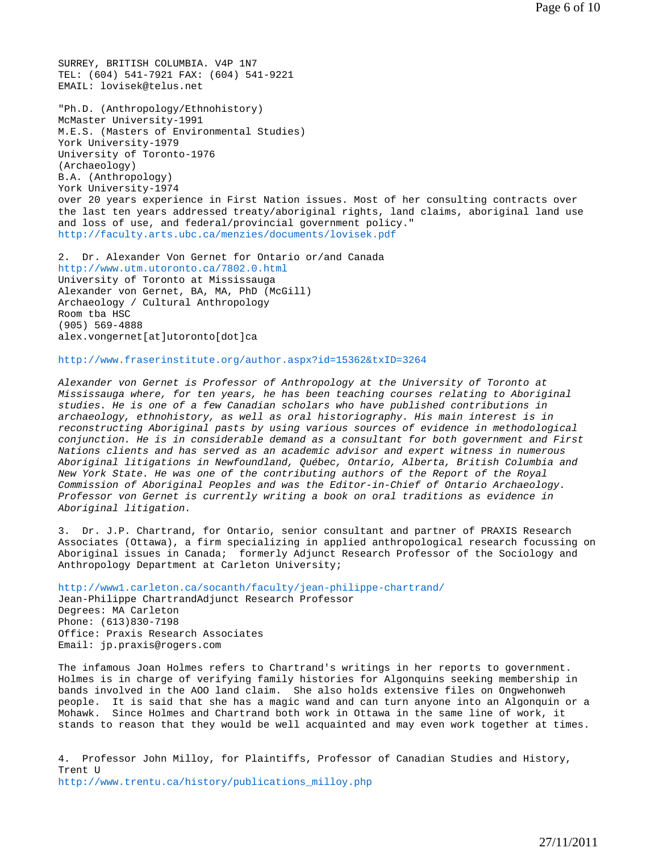SURREY, BRITISH COLUMBIA. V4P 1N7 TEL: (604) 541-7921 FAX: (604) 541-9221 EMAIL: lovisek@telus.net

"Ph.D. (Anthropology/Ethnohistory) McMaster University-1991 M.E.S. (Masters of Environmental Studies) York University-1979 University of Toronto-1976 (Archaeology) B.A. (Anthropology) York University-1974 over 20 years experience in First Nation issues. Most of her consulting contracts over the last ten years addressed treaty/aboriginal rights, land claims, aboriginal land use and loss of use, and federal/provincial government policy." http://faculty.arts.ubc.ca/menzies/documents/lovisek.pdf

2. Dr. Alexander Von Gernet for Ontario or/and Canada http://www.utm.utoronto.ca/7802.0.html University of Toronto at Mississauga Alexander von Gernet, BA, MA, PhD (McGill) Archaeology / Cultural Anthropology Room tba HSC (905) 569-4888 alex.vongernet[at]utoronto[dot]ca

http://www.fraserinstitute.org/author.aspx?id=15362&txID=3264

*Alexander von Gernet is Professor of Anthropology at the University of Toronto at Mississauga where, for ten years, he has been teaching courses relating to Aboriginal studies. He is one of a few Canadian scholars who have published contributions in archaeology, ethnohistory, as well as oral historiography. His main interest is in reconstructing Aboriginal pasts by using various sources of evidence in methodological conjunction. He is in considerable demand as a consultant for both government and First Nations clients and has served as an academic advisor and expert witness in numerous Aboriginal litigations in Newfoundland, Québec, Ontario, Alberta, British Columbia and New York State. He was one of the contributing authors of the Report of the Royal Commission of Aboriginal Peoples and was the Editor-in-Chief of Ontario Archaeology. Professor von Gernet is currently writing a book on oral traditions as evidence in Aboriginal litigation.* 

3. Dr. J.P. Chartrand, for Ontario, senior consultant and partner of PRAXIS Research Associates (Ottawa), a firm specializing in applied anthropological research focussing on Aboriginal issues in Canada; formerly Adjunct Research Professor of the Sociology and Anthropology Department at Carleton University;

http://www1.carleton.ca/socanth/faculty/jean-philippe-chartrand/ Jean-Philippe ChartrandAdjunct Research Professor Degrees: MA Carleton Phone: (613)830-7198 Office: Praxis Research Associates Email: jp.praxis@rogers.com

The infamous Joan Holmes refers to Chartrand's writings in her reports to government. Holmes is in charge of verifying family histories for Algonquins seeking membership in bands involved in the AOO land claim. She also holds extensive files on Ongwehonweh people. It is said that she has a magic wand and can turn anyone into an Algonquin or a Mohawk. Since Holmes and Chartrand both work in Ottawa in the same line of work, it stands to reason that they would be well acquainted and may even work together at times.

4. Professor John Milloy, for Plaintiffs, Professor of Canadian Studies and History, Trent U http://www.trentu.ca/history/publications\_milloy.php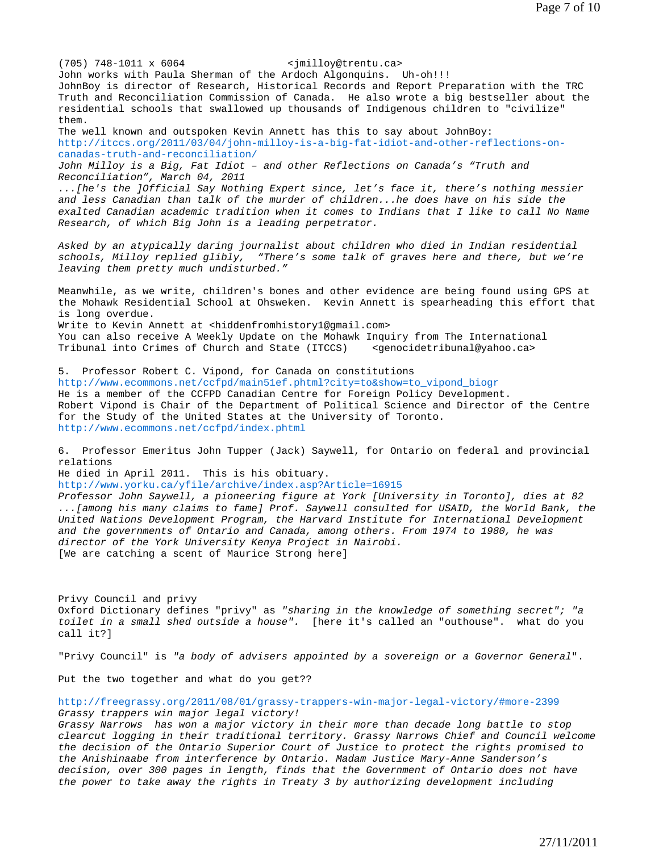John works with Paula Sherman of the Ardoch Algonquins. Uh-oh!!! JohnBoy is director of Research, Historical Records and Report Preparation with the TRC Truth and Reconciliation Commission of Canada. He also wrote a big bestseller about the residential schools that swallowed up thousands of Indigenous children to "civilize" them. The well known and outspoken Kevin Annett has this to say about JohnBoy: http://itccs.org/2011/03/04/john-milloy-is-a-big-fat-idiot-and-other-reflections-oncanadas-truth-and-reconciliation/ *John Milloy is a Big, Fat Idiot – and other Reflections on Canada's "Truth and Reconciliation", March 04, 2011 ...[he's the ]Official Say Nothing Expert since, let's face it, there's nothing messier and less Canadian than talk of the murder of children...he does have on his side the exalted Canadian academic tradition when it comes to Indians that I like to call No Name Research, of which Big John is a leading perpetrator. Asked by an atypically daring journalist about children who died in Indian residential schools, Milloy replied glibly, "There's some talk of graves here and there, but we're leaving them pretty much undisturbed."*  Meanwhile, as we write, children's bones and other evidence are being found using GPS at the Mohawk Residential School at Ohsweken. Kevin Annett is spearheading this effort that is long overdue. Write to Kevin Annett at <hiddenfromhistory1@gmail.com> You can also receive A Weekly Update on the Mohawk Inquiry from The International Tribunal into Crimes of Church and State (ITCCS) <genocidetribunal@yahoo.ca> 5. Professor Robert C. Vipond, for Canada on constitutions http://www.ecommons.net/ccfpd/main51ef.phtml?city=to&show=to\_vipond\_biogr He is a member of the CCFPD Canadian Centre for Foreign Policy Development. Robert Vipond is Chair of the Department of Political Science and Director of the Centre for the Study of the United States at the University of Toronto. http://www.ecommons.net/ccfpd/index.phtml 6. Professor Emeritus John Tupper (Jack) Saywell, for Ontario on federal and provincial relations He died in April 2011. This is his obituary. http://www.yorku.ca/yfile/archive/index.asp?Article=16915 *Professor John Saywell, a pioneering figure at York [University in Toronto], dies at 82 ...[among his many claims to fame] Prof. Saywell consulted for USAID, the World Bank, the United Nations Development Program, the Harvard Institute for International Development and the governments of Ontario and Canada, among others. From 1974 to 1980, he was director of the York University Kenya Project in Nairobi.*  [We are catching a scent of Maurice Strong here] Privy Council and privy Oxford Dictionary defines "privy" as *"sharing in the knowledge of something secret"; "a toilet in a small shed outside a house".* [here it's called an "outhouse". what do you call it?] "Privy Council" is *"a body of advisers appointed by a sovereign or a Governor General*". Put the two together and what do you get?? http://freegrassy.org/2011/08/01/grassy-trappers-win-major-legal-victory/#more-2399 *Grassy trappers win major legal victory! Grassy Narrows has won a major victory in their more than decade long battle to stop clearcut logging in their traditional territory. Grassy Narrows Chief and Council welcome the decision of the Ontario Superior Court of Justice to protect the rights promised to the Anishinaabe from interference by Ontario. Madam Justice Mary-Anne Sanderson's decision, over 300 pages in length, finds that the Government of Ontario does not have* 

(705) 748-1011 x 6064 <jmilloy@trentu.ca>

*the power to take away the rights in Treaty 3 by authorizing development including*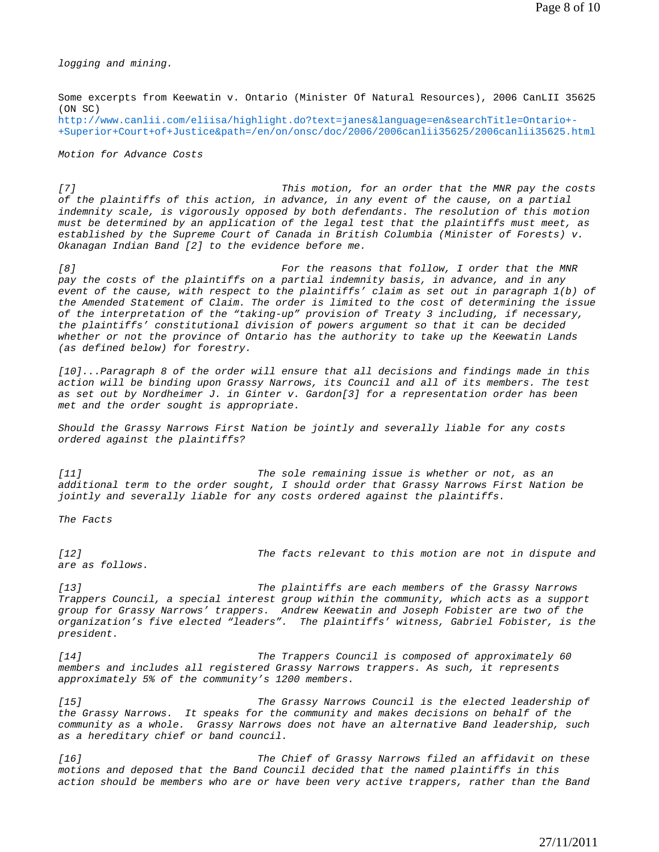*logging and mining.* 

Some excerpts from Keewatin v. Ontario (Minister Of Natural Resources), 2006 CanLII 35625 (ON SC) http://www.canlii.com/eliisa/highlight.do?text=janes&language=en&searchTitle=Ontario+- +Superior+Court+of+Justice&path=/en/on/onsc/doc/2006/2006canlii35625/2006canlii35625.html

*Motion for Advance Costs* 

*[7] This motion, for an order that the MNR pay the costs of the plaintiffs of this action, in advance, in any event of the cause, on a partial indemnity scale, is vigorously opposed by both defendants. The resolution of this motion must be determined by an application of the legal test that the plaintiffs must meet, as established by the Supreme Court of Canada in British Columbia (Minister of Forests) v. Okanagan Indian Band [2] to the evidence before me.* 

*[8] For the reasons that follow, I order that the MNR pay the costs of the plaintiffs on a partial indemnity basis, in advance, and in any event of the cause, with respect to the plaintiffs' claim as set out in paragraph 1(b) of the Amended Statement of Claim. The order is limited to the cost of determining the issue of the interpretation of the "taking-up" provision of Treaty 3 including, if necessary, the plaintiffs' constitutional division of powers argument so that it can be decided whether or not the province of Ontario has the authority to take up the Keewatin Lands (as defined below) for forestry.* 

*[10]...Paragraph 8 of the order will ensure that all decisions and findings made in this action will be binding upon Grassy Narrows, its Council and all of its members. The test as set out by Nordheimer J. in Ginter v. Gardon[3] for a representation order has been met and the order sought is appropriate.* 

*Should the Grassy Narrows First Nation be jointly and severally liable for any costs ordered against the plaintiffs?* 

*[11] The sole remaining issue is whether or not, as an additional term to the order sought, I should order that Grassy Narrows First Nation be jointly and severally liable for any costs ordered against the plaintiffs.* 

*The Facts* 

*[12] The facts relevant to this motion are not in dispute and are as follows.* 

*[13] The plaintiffs are each members of the Grassy Narrows Trappers Council, a special interest group within the community, which acts as a support group for Grassy Narrows' trappers. Andrew Keewatin and Joseph Fobister are two of the organization's five elected "leaders". The plaintiffs' witness, Gabriel Fobister, is the president.* 

*[14] The Trappers Council is composed of approximately 60 members and includes all registered Grassy Narrows trappers. As such, it represents approximately 5% of the community's 1200 members.* 

*[15] The Grassy Narrows Council is the elected leadership of the Grassy Narrows. It speaks for the community and makes decisions on behalf of the community as a whole. Grassy Narrows does not have an alternative Band leadership, such as a hereditary chief or band council.* 

*[16] The Chief of Grassy Narrows filed an affidavit on these motions and deposed that the Band Council decided that the named plaintiffs in this action should be members who are or have been very active trappers, rather than the Band*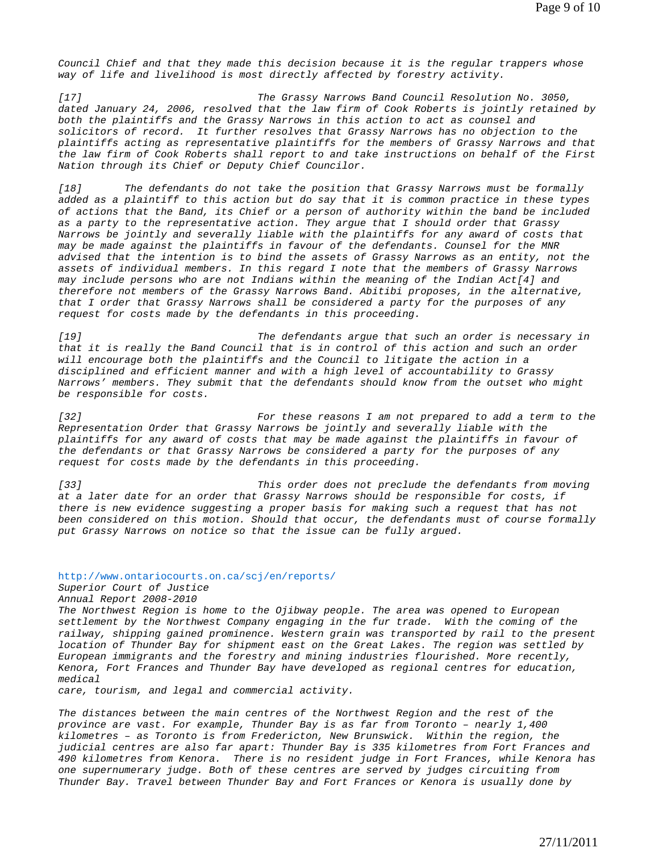*Council Chief and that they made this decision because it is the regular trappers whose way of life and livelihood is most directly affected by forestry activity.* 

*[17] The Grassy Narrows Band Council Resolution No. 3050, dated January 24, 2006, resolved that the law firm of Cook Roberts is jointly retained by both the plaintiffs and the Grassy Narrows in this action to act as counsel and solicitors of record. It further resolves that Grassy Narrows has no objection to the plaintiffs acting as representative plaintiffs for the members of Grassy Narrows and that the law firm of Cook Roberts shall report to and take instructions on behalf of the First Nation through its Chief or Deputy Chief Councilor.* 

*[18] The defendants do not take the position that Grassy Narrows must be formally added as a plaintiff to this action but do say that it is common practice in these types of actions that the Band, its Chief or a person of authority within the band be included as a party to the representative action. They argue that I should order that Grassy Narrows be jointly and severally liable with the plaintiffs for any award of costs that may be made against the plaintiffs in favour of the defendants. Counsel for the MNR advised that the intention is to bind the assets of Grassy Narrows as an entity, not the assets of individual members. In this regard I note that the members of Grassy Narrows may include persons who are not Indians within the meaning of the Indian Act[4] and therefore not members of the Grassy Narrows Band. Abitibi proposes, in the alternative, that I order that Grassy Narrows shall be considered a party for the purposes of any request for costs made by the defendants in this proceeding.* 

*[19] The defendants argue that such an order is necessary in that it is really the Band Council that is in control of this action and such an order will encourage both the plaintiffs and the Council to litigate the action in a disciplined and efficient manner and with a high level of accountability to Grassy Narrows' members. They submit that the defendants should know from the outset who might be responsible for costs.* 

*[32] For these reasons I am not prepared to add a term to the Representation Order that Grassy Narrows be jointly and severally liable with the plaintiffs for any award of costs that may be made against the plaintiffs in favour of the defendants or that Grassy Narrows be considered a party for the purposes of any request for costs made by the defendants in this proceeding.* 

*[33] This order does not preclude the defendants from moving at a later date for an order that Grassy Narrows should be responsible for costs, if there is new evidence suggesting a proper basis for making such a request that has not been considered on this motion. Should that occur, the defendants must of course formally put Grassy Narrows on notice so that the issue can be fully argued.* 

http://www.ontariocourts.on.ca/scj/en/reports/

*Superior Court of Justice* 

*Annual Report 2008-2010* 

The Northwest Region is home to the Ojibway people. The area was opened to European *settlement by the Northwest Company engaging in the fur trade. With the coming of the railway, shipping gained prominence. Western grain was transported by rail to the present location of Thunder Bay for shipment east on the Great Lakes. The region was settled by European immigrants and the forestry and mining industries flourished. More recently, Kenora, Fort Frances and Thunder Bay have developed as regional centres for education, medical* 

*care, tourism, and legal and commercial activity.* 

The distances between the main centres of the Northwest Region and the rest of the *province are vast. For example, Thunder Bay is as far from Toronto – nearly 1,400 kilometres – as Toronto is from Fredericton, New Brunswick. Within the region, the judicial centres are also far apart: Thunder Bay is 335 kilometres from Fort Frances and 490 kilometres from Kenora. There is no resident judge in Fort Frances, while Kenora has one supernumerary judge. Both of these centres are served by judges circuiting from Thunder Bay. Travel between Thunder Bay and Fort Frances or Kenora is usually done by*